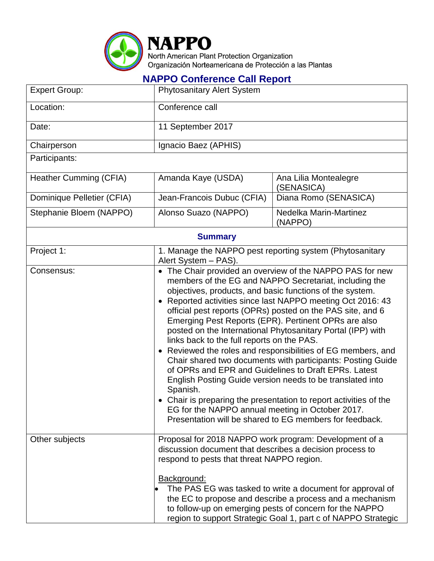

## **NAPPO Conference Call Report**

| <b>Expert Group:</b>          | <b>Phytosanitary Alert System</b>                                                                                                                                                                                                                                                                                                                                                                                                                                                                                                                                                                                                                                                                                                                                                                                                                                                                                                                |                                                                                                                                                                                                                                                   |  |  |
|-------------------------------|--------------------------------------------------------------------------------------------------------------------------------------------------------------------------------------------------------------------------------------------------------------------------------------------------------------------------------------------------------------------------------------------------------------------------------------------------------------------------------------------------------------------------------------------------------------------------------------------------------------------------------------------------------------------------------------------------------------------------------------------------------------------------------------------------------------------------------------------------------------------------------------------------------------------------------------------------|---------------------------------------------------------------------------------------------------------------------------------------------------------------------------------------------------------------------------------------------------|--|--|
| Location:                     | Conference call                                                                                                                                                                                                                                                                                                                                                                                                                                                                                                                                                                                                                                                                                                                                                                                                                                                                                                                                  |                                                                                                                                                                                                                                                   |  |  |
| Date:                         | 11 September 2017                                                                                                                                                                                                                                                                                                                                                                                                                                                                                                                                                                                                                                                                                                                                                                                                                                                                                                                                |                                                                                                                                                                                                                                                   |  |  |
| Chairperson                   | Ignacio Baez (APHIS)                                                                                                                                                                                                                                                                                                                                                                                                                                                                                                                                                                                                                                                                                                                                                                                                                                                                                                                             |                                                                                                                                                                                                                                                   |  |  |
| Participants:                 |                                                                                                                                                                                                                                                                                                                                                                                                                                                                                                                                                                                                                                                                                                                                                                                                                                                                                                                                                  |                                                                                                                                                                                                                                                   |  |  |
| <b>Heather Cumming (CFIA)</b> | Amanda Kaye (USDA)                                                                                                                                                                                                                                                                                                                                                                                                                                                                                                                                                                                                                                                                                                                                                                                                                                                                                                                               | Ana Lilia Montealegre<br>(SENASICA)                                                                                                                                                                                                               |  |  |
| Dominique Pelletier (CFIA)    | Jean-Francois Dubuc (CFIA)                                                                                                                                                                                                                                                                                                                                                                                                                                                                                                                                                                                                                                                                                                                                                                                                                                                                                                                       | Diana Romo (SENASICA)                                                                                                                                                                                                                             |  |  |
| Stephanie Bloem (NAPPO)       | Alonso Suazo (NAPPO)                                                                                                                                                                                                                                                                                                                                                                                                                                                                                                                                                                                                                                                                                                                                                                                                                                                                                                                             | Nedelka Marin-Martinez<br>(NAPPO)                                                                                                                                                                                                                 |  |  |
| <b>Summary</b>                |                                                                                                                                                                                                                                                                                                                                                                                                                                                                                                                                                                                                                                                                                                                                                                                                                                                                                                                                                  |                                                                                                                                                                                                                                                   |  |  |
| Project 1:                    | 1. Manage the NAPPO pest reporting system (Phytosanitary<br>Alert System - PAS).                                                                                                                                                                                                                                                                                                                                                                                                                                                                                                                                                                                                                                                                                                                                                                                                                                                                 |                                                                                                                                                                                                                                                   |  |  |
| Consensus:                    | • The Chair provided an overview of the NAPPO PAS for new<br>members of the EG and NAPPO Secretariat, including the<br>objectives, products, and basic functions of the system.<br>Reported activities since last NAPPO meeting Oct 2016: 43<br>$\bullet$<br>official pest reports (OPRs) posted on the PAS site, and 6<br>Emerging Pest Reports (EPR). Pertinent OPRs are also<br>posted on the International Phytosanitary Portal (IPP) with<br>links back to the full reports on the PAS.<br>• Reviewed the roles and responsibilities of EG members, and<br>Chair shared two documents with participants: Posting Guide<br>of OPRs and EPR and Guidelines to Draft EPRs. Latest<br>English Posting Guide version needs to be translated into<br>Spanish.<br>• Chair is preparing the presentation to report activities of the<br>EG for the NAPPO annual meeting in October 2017.<br>Presentation will be shared to EG members for feedback. |                                                                                                                                                                                                                                                   |  |  |
| Other subjects                | Proposal for 2018 NAPPO work program: Development of a<br>discussion document that describes a decision process to<br>respond to pests that threat NAPPO region.<br>Background:                                                                                                                                                                                                                                                                                                                                                                                                                                                                                                                                                                                                                                                                                                                                                                  | The PAS EG was tasked to write a document for approval of<br>the EC to propose and describe a process and a mechanism<br>to follow-up on emerging pests of concern for the NAPPO<br>region to support Strategic Goal 1, part c of NAPPO Strategic |  |  |